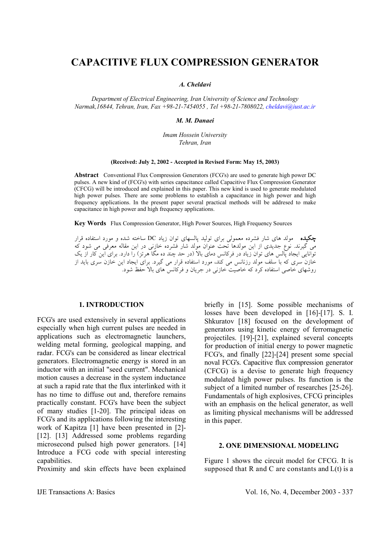# **CAPACITIVE FLUX COMPRESSION GENERATOR**

*A. Cheldavi* 

*Department of Electrical Engineering, Iran University of Science and Technology Narmak,16844, Tehran, Iran, Fax +98-21-7454055 , Tel +98-21-7808022, cheldavi@iust.ac.ir*

*M. M. Danaei* 

*Imam Hossein University Tehran, Iran*

### **(Received: July 2, 2002 - Accepted in Revised Form: May 15, 2003)**

**Abstract** Conventional Flux Compression Generators (FCG's) are used to generate high power DC pulses. A new kind of (FCG's) with series capacitance called Capacitive Flux Compression Generator (CFCG) will be introduced and explained in this paper. This new kind is used to generate modulated high power pulses. There are some problems to establish a capacitance in high power and high frequency applications. In the present paper several practical methods will be addresed to make capacitance in high power and high frequency applications.

**Key Words** Flux Compression Generator, High Power Sources, High Frequency Sources

چکيده مولد هاي شار فشرده معمولي براي توليد پالسهاي توان زياد DC ساخته شده و مورد استفاده قرار مي گيرند. نوع جديدي از اين مولدها تحت عنوان مولد شار فشرده خازني در اين مقاله معرفي مي شود كه توانايي ايجاد پالس هاي توان زياد در فركانس دماي بالا (در حد چند ده مگا هرتز) را دارد. براي اين كار از يك خازن سري كه با سلف مولد رزنانس مي كند، مورد استفاده قرار مي گيرد. براي ايجاد اين خازن سري بايد از روشهاي خاصي استفاده كرد كه خاصيت خازني در جريان و فركانس هاي بالا حفظ شود.

### **1. INTRODUCTION**

FCG's are used extensively in several applications especially when high current pulses are needed in applications such as electromagnetic launchers, welding metal forming, geological mapping, and radar. FCG's can be considered as linear electrical generators. Electromagnetic energy is stored in an inductor with an initial "seed current". Mechanical motion causes a decrease in the system inductance at such a rapid rate that the flux interlinked with it has no time to diffuse out and, therefore remains practically constant. FCG's have been the subject of many studies [1-20]. The principal ideas on FCG's and its applications following the interesting work of Kapitza [1] have been presented in [2]- [12]. [13] Addressed some problems regarding microsecond pulsed high power generators. [14] Introduce a FCG code with special interesting capabilities.

Proximity and skin effects have been explained

briefly in [15]. Some possible mechanisms of losses have been developed in [16]-[17]. S. I. Shkuratov [18] focused on the development of generators using kinetic energy of ferromagnetic projectiles. [19]-[21], explained several concepts for production of initial energy to power magnetic FCG's, and finally [22]-[24] present some special noval FCG's. Capacitive flux compression generator (CFCG) is a devise to generate high frequency modulated high power pulses. Its function is the subject of a limited number of researches [25-26]. Fundamentals of high explosives, CFCG principles with an emphasis on the helical generator, as well as limiting physical mechanisms will be addressed in this paper.

### **2. ONE DIMENSIONAL MODELING**

Figure 1 shows the circuit model for CFCG. It is supposed that R and C are constants and  $L(t)$  is a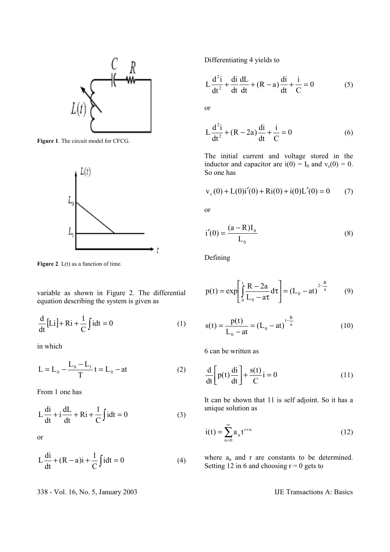

**Figure 1**. The circuit model for CFCG.



Figure 2. L(t) as a function of time.

variable as shown in Figure 2. The differential equation describing the system is given as

$$
\frac{d}{dt}[Li] + Ri + \frac{1}{C}\int i dt = 0
$$
 (1)

in which

$$
L = L_0 - \frac{L_0 - L_1}{T}t = L_0 - at
$$
 (2)

From 1 one has

$$
L\frac{di}{dt} + i\frac{dL}{dt} + Ri + \frac{1}{C}\int i dt = 0
$$
 (3)

or

$$
L\frac{di}{dt} + (R - a)i + \frac{1}{C}\int i dt = 0
$$
 (4)

338 - Vol. 16, No. 5, January 2003 IJE Transactions A: Basics

Differentiating 4 yields to

$$
L\frac{d^{2}i}{dt^{2}} + \frac{di}{dt}\frac{dL}{dt} + (R - a)\frac{di}{dt} + \frac{i}{C} = 0
$$
 (5)

or

$$
L\frac{d^{2}i}{dt^{2}} + (R - 2a)\frac{di}{dt} + \frac{i}{C} = 0
$$
 (6)

The initial current and voltage stored in the inductor and capacitor are  $i(0) = I_0$  and  $v_c(0) = 0$ . So one has

$$
v_c(0) + L(0)i'(0) + Ri(0) + i(0)L'(0) = 0 \qquad (7)
$$

or

$$
i'(0) = \frac{(a - R)I_0}{L_0}
$$
 (8)

Defining

$$
p(t) = \exp\left[\int_{0}^{t} \frac{R - 2a}{L_0 - a\tau} d\tau\right] = (L_0 - at)^{\frac{2 - R}{a}} \tag{9}
$$

$$
s(t) = \frac{p(t)}{L_0 - at} = (L_0 - at)^{1 - \frac{R}{a}}
$$
 (10)

6 can be written as

$$
\frac{d}{dt} \left[ p(t) \frac{di}{dt} \right] + \frac{s(t)}{C} i = 0 \tag{11}
$$

It can be shown that 11 is self adjoint. So it has a unique solution as

$$
i(t) = \sum_{n=0}^{\infty} a_n t^{r+n}
$$
 (12)

where  $a_n$  and r are constants to be determined. Setting 12 in 6 and choosing  $r = 0$  gets to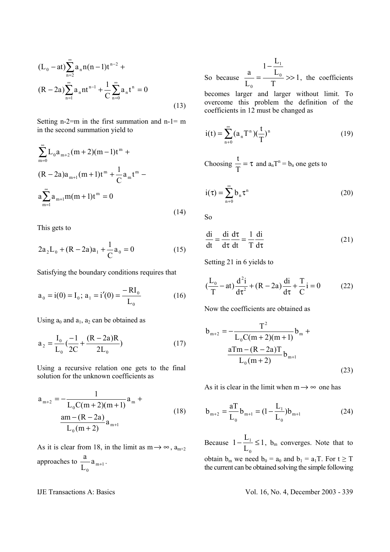$$
(L_0 - at) \sum_{n=2}^{\infty} a_n n(n-1)t^{n-2} +
$$
  

$$
(R - 2a) \sum_{n=1}^{\infty} a_n nt^{n-1} + \frac{1}{C} \sum_{n=0}^{\infty} a_n t^n = 0
$$
 (13)

Setting n-2=m in the first summation and n-1= m in the second summation yield to

$$
\sum_{m=0}^{\infty} L_0 a_{m+2} (m+2)(m-1)t^m +
$$
  
(R-2a)a<sub>m+1</sub>(m+1)t<sup>m</sup> +  $\frac{1}{C}$ a<sub>m</sub>t<sup>m</sup> -  
a $\sum_{m=1}^{\infty} a_{m+1} m(m+1)t^m = 0$  (14)

This gets to

$$
2a_2L_0 + (R - 2a)a_1 + \frac{1}{C}a_0 = 0
$$
 (15)

Satisfying the boundary conditions requires that

$$
a_0 = i(0) = I_0; \ a_1 = i'(0) = \frac{-RI_0}{L_0}
$$
 (16)

Using  $a_0$  and  $a_1$ ,  $a_2$  can be obtained as

$$
a_2 = \frac{I_0}{L_0} \left(\frac{-1}{2C} + \frac{(R - 2a)R}{2L_0}\right)
$$
 (17)

Using a recursive relation one gets to the final solution for the unknown coefficients as

$$
a_{m+2} = -\frac{1}{L_0 C(m+2)(m+1)} a_m + \frac{am - (R - 2a)}{L_0(m+2)} a_{m+1}
$$
 (18)

As it is clear from 18, in the limit as  $m \rightarrow \infty$ ,  $a_{m+2}$ approaches to  $\frac{a}{r}$  a<sub>m+1</sub> 0 a L a  $+1$ .

So because  $\frac{a}{1} = \frac{b_0}{1} \gg 1$ T L  $1-\frac{L}{I}$ L  $a = L_0$ 1 0 >> −  $=\frac{E_0}{T}$  >> 1, the coefficients becomes larger and larger without limit. To overcome this problem the definition of the coefficients in 12 must be changed as

$$
i(t) = \sum_{n=0}^{\infty} (a_n T^n) (\frac{t}{T})^n
$$
 (19)

Choosing  $\frac{1}{n} = \tau$ T  $\frac{t}{n} = \tau$  and  $a_nT^n = b_n$  one gets to

$$
i(\tau) = \sum_{n=0}^{\infty} b_n \tau^n
$$
 (20)

So

$$
\frac{di}{dt} = \frac{di}{d\tau} \frac{d\tau}{dt} = \frac{1}{T} \frac{di}{d\tau}
$$
 (21)

Setting 21 in 6 yields to

$$
(\frac{L_0}{T} - at) \frac{d^2 i}{d\tau^2} + (R - 2a) \frac{di}{d\tau} + \frac{T}{C} i = 0
$$
 (22)

Now the coefficients are obtained as

$$
b_{m+2} = -\frac{T^2}{L_0 C(m+2)(m+1)} b_m +
$$
  

$$
\frac{aTm - (R - 2a)T}{L_0(m+2)} b_{m+1}
$$
 (23)

As it is clear in the limit when  $m \rightarrow \infty$  one has

$$
b_{m+2} = \frac{aT}{L_0} b_{m+1} = (1 - \frac{L_1}{L_0}) b_{m+1}
$$
 (24)

Because  $1-\frac{L_1}{L_1}\leq 1$ L  $1-\frac{L}{I}$ 0  $-\frac{E_1}{I} \leq 1$ , b<sub>m</sub> converges. Note that to obtain  $b_m$  we need  $b_0 = a_0$  and  $b_1 = a_1T$ . For  $t \geq T$ the current can be obtained solving the simple following

IJE Transactions A: Basics Vol. 16, No. 4, December 2003 - 339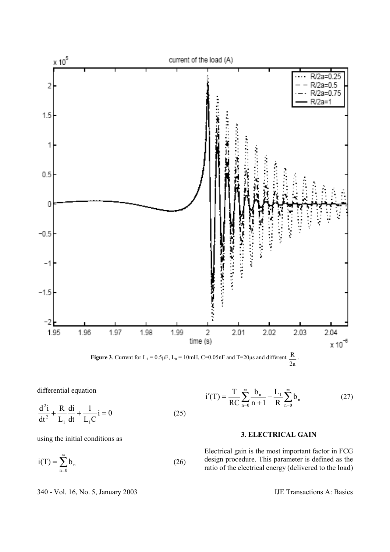



differential equation

$$
\frac{d^2 i}{dt^2} + \frac{R}{L_1} \frac{di}{dt} + \frac{1}{L_1 C} i = 0
$$
 (25)

using the initial conditions as

$$
i(T) = \sum_{n=0}^{\infty} b_n
$$
 (26)

$$
i'(T) = \frac{T}{RC} \sum_{n=0}^{\infty} \frac{b_n}{n+1} - \frac{L_1}{R} \sum_{n=0}^{\infty} b_n
$$
 (27)

## **3. ELECTRICAL GAIN**

Electrical gain is the most important factor in FCG design procedure. This parameter is defined as the ratio of the electrical energy (delivered to the load)

340 - Vol. 16, No. 5, January 2003 IJE Transactions A: Basics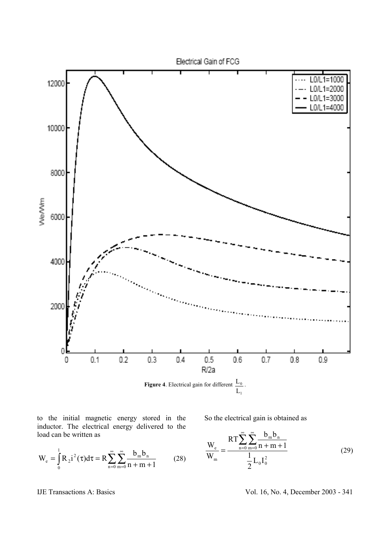

to the initial magnetic energy stored in the inductor. The electrical energy delivered to the load can be written as

$$
W_e = \int_0^1 R_2 i^2(\tau) d\tau = R \sum_{n=0}^{\infty} \sum_{m=0}^{\infty} \frac{b_m b_n}{n+m+1}
$$
 (28)

So the electrical gain is obtained as

$$
\frac{W_e}{W_m} = \frac{RT \sum_{n=0}^{\infty} \sum_{m=0}^{\infty} \frac{b_m b_n}{n+m+1}}{\frac{1}{2} L_0 I_0^2}
$$
(29)

IJE Transactions A: Basics Vol. 16, No. 4, December 2003 - 341